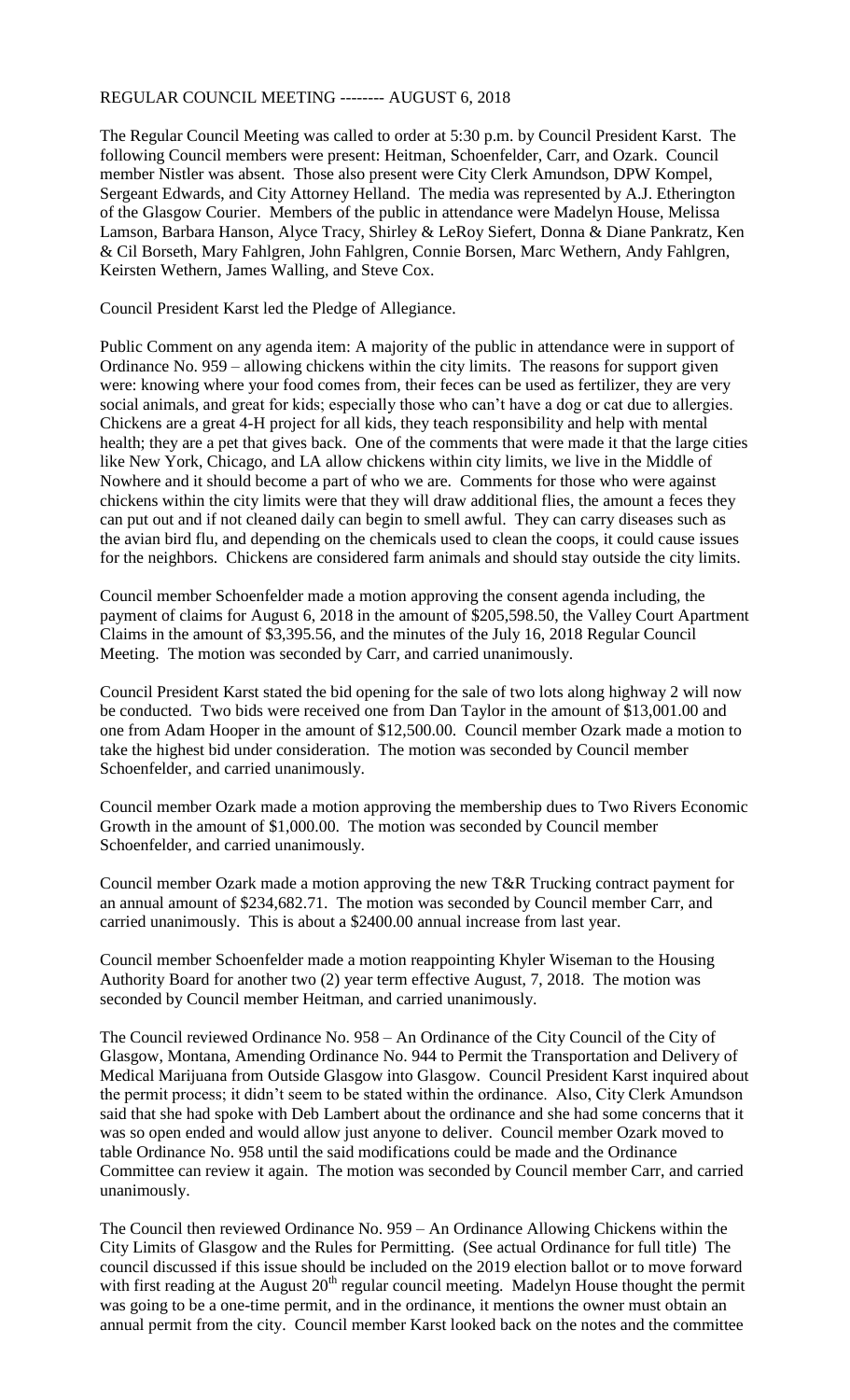# REGULAR COUNCIL MEETING -------- AUGUST 6, 2018

The Regular Council Meeting was called to order at 5:30 p.m. by Council President Karst. The following Council members were present: Heitman, Schoenfelder, Carr, and Ozark. Council member Nistler was absent. Those also present were City Clerk Amundson, DPW Kompel, Sergeant Edwards, and City Attorney Helland. The media was represented by A.J. Etherington of the Glasgow Courier. Members of the public in attendance were Madelyn House, Melissa Lamson, Barbara Hanson, Alyce Tracy, Shirley & LeRoy Siefert, Donna & Diane Pankratz, Ken & Cil Borseth, Mary Fahlgren, John Fahlgren, Connie Borsen, Marc Wethern, Andy Fahlgren, Keirsten Wethern, James Walling, and Steve Cox.

Council President Karst led the Pledge of Allegiance.

Public Comment on any agenda item: A majority of the public in attendance were in support of Ordinance No. 959 – allowing chickens within the city limits. The reasons for support given were: knowing where your food comes from, their feces can be used as fertilizer, they are very social animals, and great for kids; especially those who can't have a dog or cat due to allergies. Chickens are a great 4-H project for all kids, they teach responsibility and help with mental health; they are a pet that gives back. One of the comments that were made it that the large cities like New York, Chicago, and LA allow chickens within city limits, we live in the Middle of Nowhere and it should become a part of who we are. Comments for those who were against chickens within the city limits were that they will draw additional flies, the amount a feces they can put out and if not cleaned daily can begin to smell awful. They can carry diseases such as the avian bird flu, and depending on the chemicals used to clean the coops, it could cause issues for the neighbors. Chickens are considered farm animals and should stay outside the city limits.

Council member Schoenfelder made a motion approving the consent agenda including, the payment of claims for August 6, 2018 in the amount of \$205,598.50, the Valley Court Apartment Claims in the amount of \$3,395.56, and the minutes of the July 16, 2018 Regular Council Meeting. The motion was seconded by Carr, and carried unanimously.

Council President Karst stated the bid opening for the sale of two lots along highway 2 will now be conducted. Two bids were received one from Dan Taylor in the amount of \$13,001.00 and one from Adam Hooper in the amount of \$12,500.00. Council member Ozark made a motion to take the highest bid under consideration. The motion was seconded by Council member Schoenfelder, and carried unanimously.

Council member Ozark made a motion approving the membership dues to Two Rivers Economic Growth in the amount of \$1,000.00. The motion was seconded by Council member Schoenfelder, and carried unanimously.

Council member Ozark made a motion approving the new T&R Trucking contract payment for an annual amount of \$234,682.71. The motion was seconded by Council member Carr, and carried unanimously. This is about a \$2400.00 annual increase from last year.

Council member Schoenfelder made a motion reappointing Khyler Wiseman to the Housing Authority Board for another two (2) year term effective August, 7, 2018. The motion was seconded by Council member Heitman, and carried unanimously.

The Council reviewed Ordinance No. 958 – An Ordinance of the City Council of the City of Glasgow, Montana, Amending Ordinance No. 944 to Permit the Transportation and Delivery of Medical Marijuana from Outside Glasgow into Glasgow. Council President Karst inquired about the permit process; it didn't seem to be stated within the ordinance. Also, City Clerk Amundson said that she had spoke with Deb Lambert about the ordinance and she had some concerns that it was so open ended and would allow just anyone to deliver. Council member Ozark moved to table Ordinance No. 958 until the said modifications could be made and the Ordinance Committee can review it again. The motion was seconded by Council member Carr, and carried unanimously.

The Council then reviewed Ordinance No. 959 – An Ordinance Allowing Chickens within the City Limits of Glasgow and the Rules for Permitting. (See actual Ordinance for full title) The council discussed if this issue should be included on the 2019 election ballot or to move forward with first reading at the August  $20<sup>th</sup>$  regular council meeting. Madelyn House thought the permit was going to be a one-time permit, and in the ordinance, it mentions the owner must obtain an annual permit from the city. Council member Karst looked back on the notes and the committee